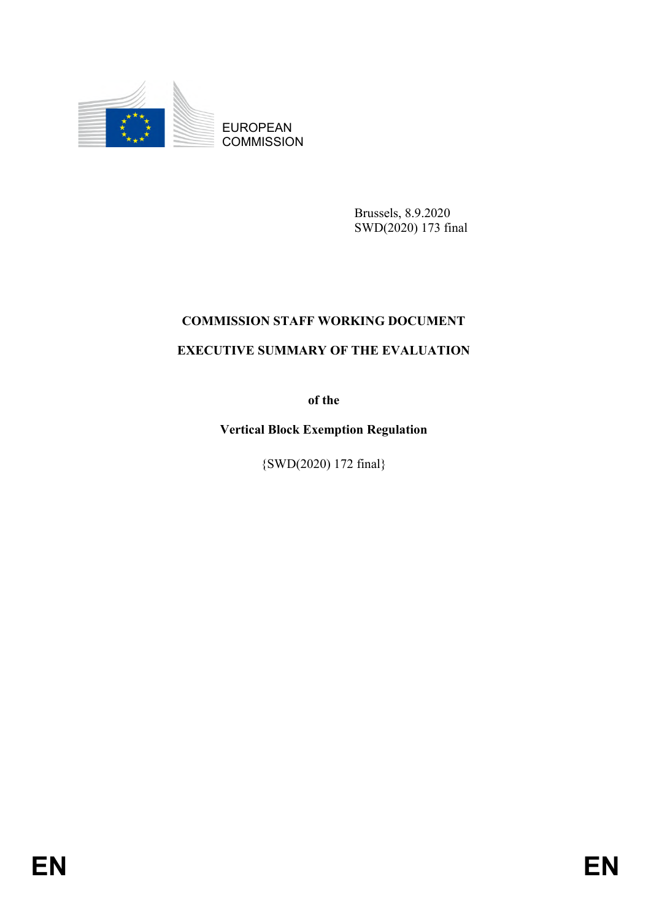

EUROPEAN **COMMISSION** 

> Brussels, 8.9.2020 SWD(2020) 173 final

## **COMMISSION STAFF WORKING DOCUMENT EXECUTIVE SUMMARY OF THE EVALUATION**

**of the**

**Vertical Block Exemption Regulation**

{SWD(2020) 172 final}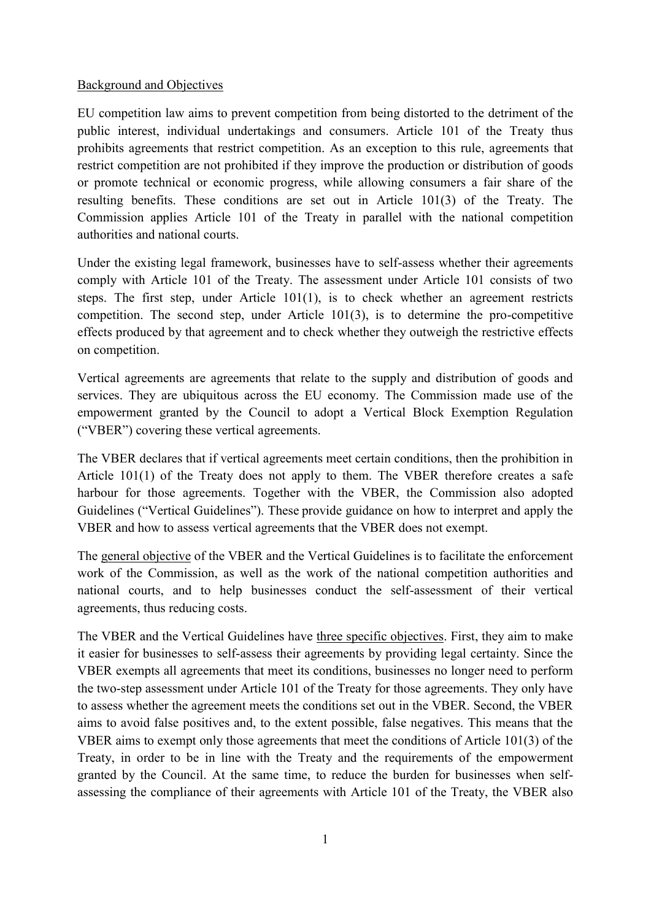## Background and Objectives

EU competition law aims to prevent competition from being distorted to the detriment of the public interest, individual undertakings and consumers. Article 101 of the Treaty thus prohibits agreements that restrict competition. As an exception to this rule, agreements that restrict competition are not prohibited if they improve the production or distribution of goods or promote technical or economic progress, while allowing consumers a fair share of the resulting benefits. These conditions are set out in Article 101(3) of the Treaty. The Commission applies Article 101 of the Treaty in parallel with the national competition authorities and national courts.

Under the existing legal framework, businesses have to self-assess whether their agreements comply with Article 101 of the Treaty. The assessment under Article 101 consists of two steps. The first step, under Article 101(1), is to check whether an agreement restricts competition. The second step, under Article 101(3), is to determine the pro-competitive effects produced by that agreement and to check whether they outweigh the restrictive effects on competition.

Vertical agreements are agreements that relate to the supply and distribution of goods and services. They are ubiquitous across the EU economy. The Commission made use of the empowerment granted by the Council to adopt a Vertical Block Exemption Regulation ("VBER") covering these vertical agreements.

The VBER declares that if vertical agreements meet certain conditions, then the prohibition in Article 101(1) of the Treaty does not apply to them. The VBER therefore creates a safe harbour for those agreements. Together with the VBER, the Commission also adopted Guidelines ("Vertical Guidelines"). These provide guidance on how to interpret and apply the VBER and how to assess vertical agreements that the VBER does not exempt.

The general objective of the VBER and the Vertical Guidelines is to facilitate the enforcement work of the Commission, as well as the work of the national competition authorities and national courts, and to help businesses conduct the self-assessment of their vertical agreements, thus reducing costs.

The VBER and the Vertical Guidelines have three specific objectives. First, they aim to make it easier for businesses to self-assess their agreements by providing legal certainty. Since the VBER exempts all agreements that meet its conditions, businesses no longer need to perform the two-step assessment under Article 101 of the Treaty for those agreements. They only have to assess whether the agreement meets the conditions set out in the VBER. Second, the VBER aims to avoid false positives and, to the extent possible, false negatives. This means that the VBER aims to exempt only those agreements that meet the conditions of Article 101(3) of the Treaty, in order to be in line with the Treaty and the requirements of the empowerment granted by the Council. At the same time, to reduce the burden for businesses when selfassessing the compliance of their agreements with Article 101 of the Treaty, the VBER also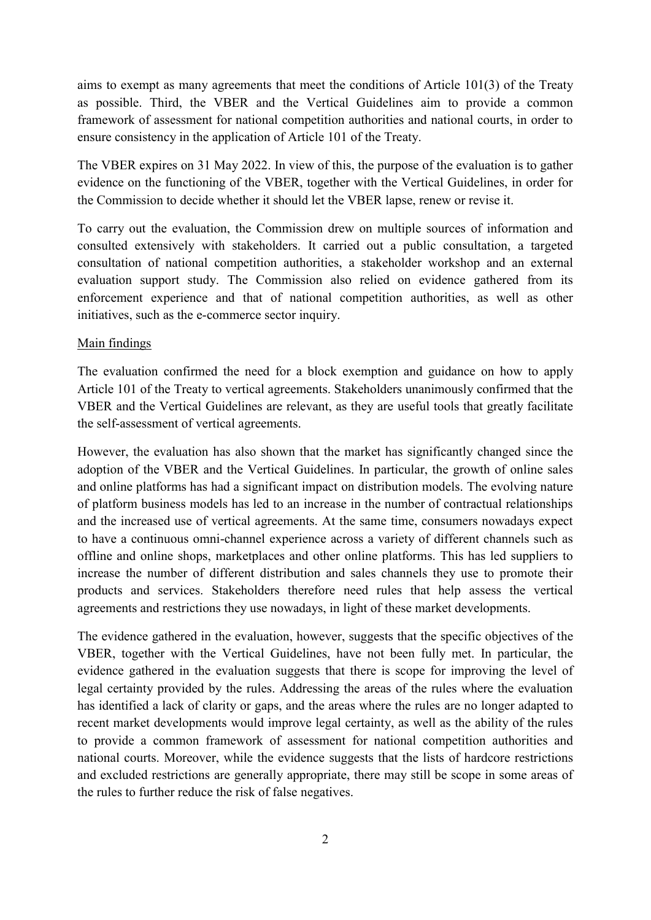aims to exempt as many agreements that meet the conditions of Article 101(3) of the Treaty as possible. Third, the VBER and the Vertical Guidelines aim to provide a common framework of assessment for national competition authorities and national courts, in order to ensure consistency in the application of Article 101 of the Treaty.

The VBER expires on 31 May 2022. In view of this, the purpose of the evaluation is to gather evidence on the functioning of the VBER, together with the Vertical Guidelines, in order for the Commission to decide whether it should let the VBER lapse, renew or revise it.

To carry out the evaluation, the Commission drew on multiple sources of information and consulted extensively with stakeholders. It carried out a public consultation, a targeted consultation of national competition authorities, a stakeholder workshop and an external evaluation support study. The Commission also relied on evidence gathered from its enforcement experience and that of national competition authorities, as well as other initiatives, such as the e-commerce sector inquiry.

## Main findings

The evaluation confirmed the need for a block exemption and guidance on how to apply Article 101 of the Treaty to vertical agreements. Stakeholders unanimously confirmed that the VBER and the Vertical Guidelines are relevant, as they are useful tools that greatly facilitate the self-assessment of vertical agreements.

However, the evaluation has also shown that the market has significantly changed since the adoption of the VBER and the Vertical Guidelines. In particular, the growth of online sales and online platforms has had a significant impact on distribution models. The evolving nature of platform business models has led to an increase in the number of contractual relationships and the increased use of vertical agreements. At the same time, consumers nowadays expect to have a continuous omni-channel experience across a variety of different channels such as offline and online shops, marketplaces and other online platforms. This has led suppliers to increase the number of different distribution and sales channels they use to promote their products and services. Stakeholders therefore need rules that help assess the vertical agreements and restrictions they use nowadays, in light of these market developments.

The evidence gathered in the evaluation, however, suggests that the specific objectives of the VBER, together with the Vertical Guidelines, have not been fully met. In particular, the evidence gathered in the evaluation suggests that there is scope for improving the level of legal certainty provided by the rules. Addressing the areas of the rules where the evaluation has identified a lack of clarity or gaps, and the areas where the rules are no longer adapted to recent market developments would improve legal certainty, as well as the ability of the rules to provide a common framework of assessment for national competition authorities and national courts. Moreover, while the evidence suggests that the lists of hardcore restrictions and excluded restrictions are generally appropriate, there may still be scope in some areas of the rules to further reduce the risk of false negatives.